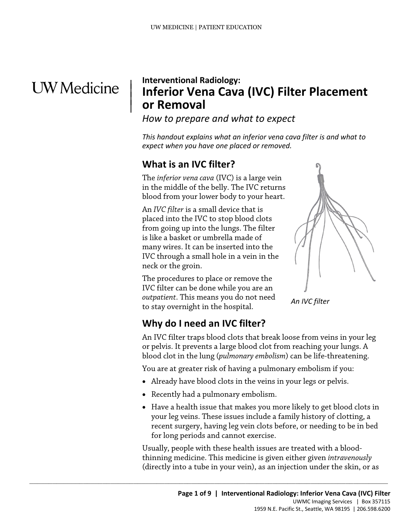## **UW** Medicine

|  $\parallel$  $\vert$ 

## **Interventional Radiology: Inferior Vena Cava (IVC) Filter Placement or Removal**

*How to prepare and what to expect* 

*This handout explains what an inferior vena cava filter is and what to expect when you have one placed or removed.* 

## **What is an IVC filter?**

The *inferior vena cava* (IVC) is a large vein in the middle of the belly. The IVC returns blood from your lower body to your heart.

in the middle of the belly. The IVC returns<br>blood from your lower body to your heart.<br>An *IVC filter* is a small device that is<br>placed into the IVC to stop blood clots<br>from going up into the lungs. The filter<br>is like a bas An *IVC filter* is a small device that is placed into the IVC to stop blood clots from going up into the lungs. The filter is like a basket or umbrella made of many wires. It can be inserted into the IVC through a small hole in a vein in the neck or the groin.

> The procedures to place or remove the IVC filter can be done while you are an *outpatient*. This means you do not need to stay overnight in the hospital.



*An IVC filter* 

## **Why do I need an IVC filter?**

An IVC filter traps blood clots that break loose from veins in your leg or pelvis. It prevents a large blood clot from reaching your lungs. A blood clot in the lung (*pulmonary embolism*) can be life-threatening.

You are at greater risk of having a pulmonary embolism if you:

- Already have blood clots in the veins in your legs or pelvis.
- Recently had a pulmonary embolism.

 $\_$  ,  $\_$  ,  $\_$  ,  $\_$  ,  $\_$  ,  $\_$  ,  $\_$  ,  $\_$  ,  $\_$  ,  $\_$  ,  $\_$  ,  $\_$  ,  $\_$  ,  $\_$  ,  $\_$  ,  $\_$  ,  $\_$  ,  $\_$  ,  $\_$  ,  $\_$  ,  $\_$  ,  $\_$  ,  $\_$  ,  $\_$  ,  $\_$  ,  $\_$  ,  $\_$  ,  $\_$  ,  $\_$  ,  $\_$  ,  $\_$  ,  $\_$  ,  $\_$  ,  $\_$  ,  $\_$  ,  $\_$  ,  $\_$  ,

• Have a health issue that makes you more likely to get blood clots in your leg veins. These issues include a family history of clotting, a recent surgery, having leg vein clots before, or needing to be in bed for long periods and cannot exercise.

 thinning medicine. This medicine is given either given *intravenously*  Usually, people with these health issues are treated with a blood-(directly into a tube in your vein), as an injection under the skin, or as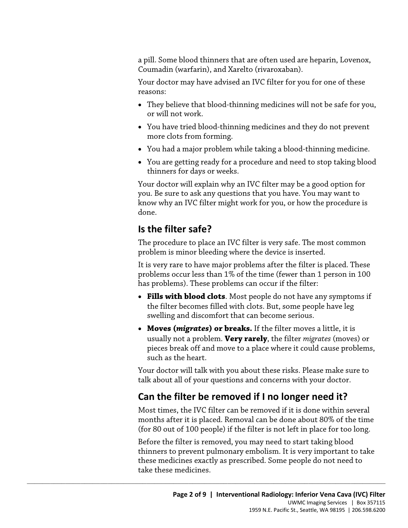a pill. Some blood thinners that are often used are heparin, Lovenox, Coumadin (warfarin), and Xarelto (rivaroxaban).

Your doctor may have advised an IVC filter for you for one of these reasons:

- or will not work. • They believe that blood-thinning medicines will not be safe for you,
- • You have tried blood-thinning medicines and they do not prevent more clots from forming.
- You had a major problem while taking a blood-thinning medicine.
- thinners for days or weeks. • You are getting ready for a procedure and need to stop taking blood

 Your doctor will explain why an IVC filter may be a good option for you. Be sure to ask any questions that you have. You may want to<br>know why an IVC filter might work for you, or how the procedure is<br>done.<br>**Is the filter safe?**<br>The procedure to place an IVC filter is very safe. The most co you. Be sure to ask any questions that you have. You may want to know why an IVC filter might work for you, or how the procedure is done.

## **Is the filter safe?**

The procedure to place an IVC filter is very safe. The most common problem is minor bleeding where the device is inserted.

 It is very rare to have major problems after the filter is placed. These problems occur less than 1% of the time (fewer than 1 person in 100 has problems). These problems can occur if the filter:

- **Fills with blood clots**. Most people do not have any symptoms if the filter becomes filled with clots. But, some people have leg swelling and discomfort that can become serious.
- **Moves (***migrates***) or breaks.** If the filter moves a little, it is usually not a problem. **Very rarely**, the filter *migrates* (moves) or pieces break off and move to a place where it could cause problems, such as the heart.

Your doctor will talk with you about these risks. Please make sure to talk about all of your questions and concerns with your doctor.

## **Can the filter be removed if I no longer need it?**

 $\_$  ,  $\_$  ,  $\_$  ,  $\_$  ,  $\_$  ,  $\_$  ,  $\_$  ,  $\_$  ,  $\_$  ,  $\_$  ,  $\_$  ,  $\_$  ,  $\_$  ,  $\_$  ,  $\_$  ,  $\_$  ,  $\_$  ,  $\_$  ,  $\_$  ,  $\_$  ,  $\_$  ,  $\_$  ,  $\_$  ,  $\_$  ,  $\_$  ,  $\_$  ,  $\_$  ,  $\_$  ,  $\_$  ,  $\_$  ,  $\_$  ,  $\_$  ,  $\_$  ,  $\_$  ,  $\_$  ,  $\_$  ,  $\_$  ,

 (for 80 out of 100 people) if the filter is not left in place for too long. Most times, the IVC filter can be removed if it is done within several months after it is placed. Removal can be done about 80% of the time

Before the filter is removed, you may need to start taking blood thinners to prevent pulmonary embolism. It is very important to take these medicines exactly as prescribed. Some people do not need to take these medicines.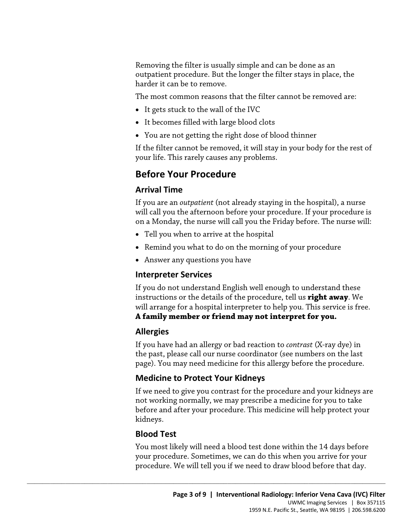outpatient procedure. But the longer the filter stays in place, the harder it can be to remove. Removing the filter is usually simple and can be done as an

The most common reasons that the filter cannot be removed are:

- It gets stuck to the wall of the IVC
- It becomes filled with large blood clots
- You are not getting the right dose of blood thinner

If the filter cannot be removed, it will stay in your body for the rest of your life. This rarely causes any problems.

## **Before Your Procedure**

#### **Arrival Time**

Arrival Time<br>If you are an *outpatient* (not already staying in the hospital), a nurse<br>will call you the afternoon before your procedure. If your procedure<br>on a Monday, the nurse will call you the Friday before. The nurse If you are an *outpatient* (not already staying in the hospital), a nurse will call you the afternoon before your procedure. If your procedure is on a Monday, the nurse will call you the Friday before. The nurse will:

- Tell you when to arrive at the hospital
- Remind you what to do on the morning of your procedure
- Answer any questions you have

#### **Interpreter Services**

If you do not understand English well enough to understand these instructions or the details of the procedure, tell us **right away**. We will arrange for a hospital interpreter to help you. This service is free. **A family member or friend may not interpret for you.** 

#### **Allergies**

If you have had an allergy or bad reaction to *contrast* (X-ray dye) in the past, please call our nurse coordinator (see numbers on the last page). You may need medicine for this allergy before the procedure.

#### **Medicine to Protect Your Kidneys**

 $\_$  ,  $\_$  ,  $\_$  ,  $\_$  ,  $\_$  ,  $\_$  ,  $\_$  ,  $\_$  ,  $\_$  ,  $\_$  ,  $\_$  ,  $\_$  ,  $\_$  ,  $\_$  ,  $\_$  ,  $\_$  ,  $\_$  ,  $\_$  ,  $\_$  ,  $\_$  ,  $\_$  ,  $\_$  ,  $\_$  ,  $\_$  ,  $\_$  ,  $\_$  ,  $\_$  ,  $\_$  ,  $\_$  ,  $\_$  ,  $\_$  ,  $\_$  ,  $\_$  ,  $\_$  ,  $\_$  ,  $\_$  ,  $\_$  ,

If we need to give you contrast for the procedure and your kidneys are not working normally, we may prescribe a medicine for you to take before and after your procedure. This medicine will help protect your kidneys.

#### **Blood Test**

You most likely will need a blood test done within the 14 days before your procedure. Sometimes, we can do this when you arrive for your procedure. We will tell you if we need to draw blood before that day.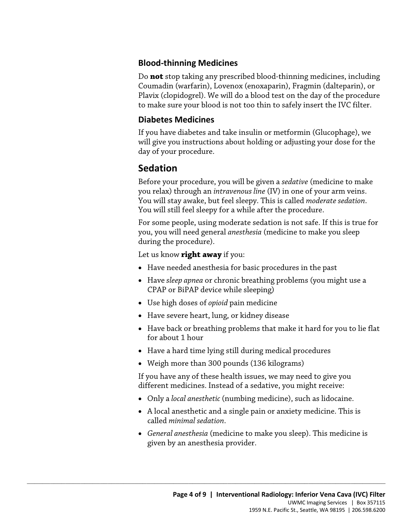#### **Blood-thinning Medicines**

 Do **not** stop taking any prescribed blood-thinning medicines, including Coumadin (warfarin), Lovenox (enoxaparin), Fragmin (dalteparin), or Plavix (clopidogrel). We will do a blood test on the day of the procedure to make sure your blood is not too thin to safely insert the IVC filter.

#### **Diabetes Medicines**

If you have diabetes and take insulin or metformin (Glucophage), we will give you instructions about holding or adjusting your dose for the day of your procedure.

## **Sedation**

Before your procedure, you will be given a *sedative* (medicine to make you relax) through an *intravenous line* (IV) in one of your arm veins. You will stay awake, but feel sleepy. This is called *moderate sedation*. You will still feel sleepy for a while after the procedure.

you relax) through an *intravenous line* (IV) in one of your arm veins<br>You will stay awake, but feel sleepy. This is called *moderate sedation*<br>You will still feel sleepy for a while after the procedure.<br>For some people, u For some people, using moderate sedation is not safe. If this is true for you, you will need general *anesthesia* (medicine to make you sleep during the procedure).

Let us know **right away** if you:

- Have needed anesthesia for basic procedures in the past
- Have *sleep apnea* or chronic breathing problems (you might use a CPAP or BiPAP device while sleeping)
- Use high doses of *opioid* pain medicine

 $\_$  ,  $\_$  ,  $\_$  ,  $\_$  ,  $\_$  ,  $\_$  ,  $\_$  ,  $\_$  ,  $\_$  ,  $\_$  ,  $\_$  ,  $\_$  ,  $\_$  ,  $\_$  ,  $\_$  ,  $\_$  ,  $\_$  ,  $\_$  ,  $\_$  ,  $\_$  ,  $\_$  ,  $\_$  ,  $\_$  ,  $\_$  ,  $\_$  ,  $\_$  ,  $\_$  ,  $\_$  ,  $\_$  ,  $\_$  ,  $\_$  ,  $\_$  ,  $\_$  ,  $\_$  ,  $\_$  ,  $\_$  ,  $\_$  ,

- Have severe heart, lung, or kidney disease
- Have back or breathing problems that make it hard for you to lie flat for about 1 hour
- Have a hard time lying still during medical procedures
- Weigh more than 300 pounds (136 kilograms)

If you have any of these health issues, we may need to give you different medicines. Instead of a sedative, you might receive:

- Only a *local anesthetic* (numbing medicine), such as lidocaine.
- A local anesthetic and a single pain or anxiety medicine. This is called *minimal sedation*.
- *General anesthesia* (medicine to make you sleep). This medicine is given by an anesthesia provider.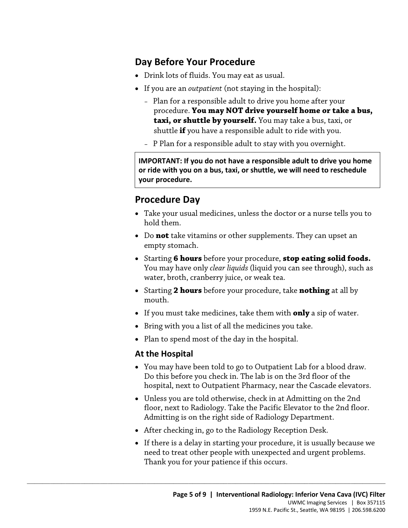## **Day Before Your Procedure**

- Drink lots of fluids. You may eat as usual.
- If you are an *outpatient* (not staying in the hospital):
	- procedure. **You may NOT drive yourself home or take a bus,**  – Plan for a responsible adult to drive you home after your **taxi, or shuttle by yourself.** You may take a bus, taxi, or shuttle **if** you have a responsible adult to ride with you.
	- P Plan for a responsible adult to stay with you overnight.

 **or ride with you on a bus, taxi, or shuttle, we will need to reschedule IMPORTANT: If you do not have a responsible adult to drive you home your procedure.** 

## **Procedure Day**

- Take your usual medicines, unless the doctor or a nurse tells you to hold them.
- Procedure Day<br>
 Take your usual medicines, unless the doctor or a nurse tells you<br>
hold them.<br>
 Do **not** take vitamins or other supplements. They can upset an<br>
empty stomach.<br>
 Starting **6 hours** before your procedure, • Do **not** take vitamins or other supplements. They can upset an empty stomach.
	- Starting **6 hours** before your procedure, **stop eating solid foods.**  You may have only *clear liquids* (liquid you can see through), such as water, broth, cranberry juice, or weak tea.
	- Starting **2 hours** before your procedure, take **nothing** at all by mouth.
	- If you must take medicines, take them with **only** a sip of water.
	- Bring with you a list of all the medicines you take.
	- Plan to spend most of the day in the hospital.

#### **At the Hospital**

- You may have been told to go to Outpatient Lab for a blood draw. Do this before you check in. The lab is on the 3rd floor of the hospital, next to Outpatient Pharmacy, near the Cascade elevators.
- Unless you are told otherwise, check in at Admitting on the 2nd floor, next to Radiology. Take the Pacific Elevator to the 2nd floor. Admitting is on the right side of Radiology Department.
- After checking in, go to the Radiology Reception Desk.

 $\_$  ,  $\_$  ,  $\_$  ,  $\_$  ,  $\_$  ,  $\_$  ,  $\_$  ,  $\_$  ,  $\_$  ,  $\_$  ,  $\_$  ,  $\_$  ,  $\_$  ,  $\_$  ,  $\_$  ,  $\_$  ,  $\_$  ,  $\_$  ,  $\_$  ,  $\_$  ,  $\_$  ,  $\_$  ,  $\_$  ,  $\_$  ,  $\_$  ,  $\_$  ,  $\_$  ,  $\_$  ,  $\_$  ,  $\_$  ,  $\_$  ,  $\_$  ,  $\_$  ,  $\_$  ,  $\_$  ,  $\_$  ,  $\_$  ,

• If there is a delay in starting your procedure, it is usually because we need to treat other people with unexpected and urgent problems. Thank you for your patience if this occurs.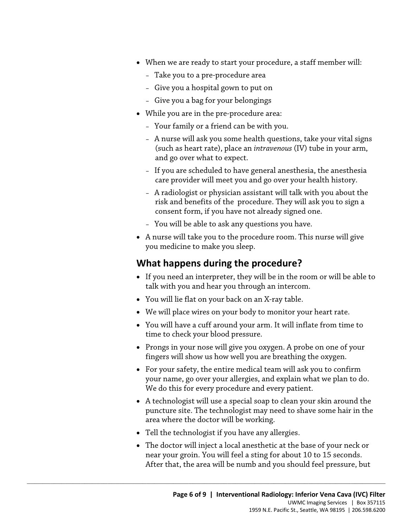- When we are ready to start your procedure, a staff member will:
	- Take you to a pre-procedure area
	- Give you a hospital gown to put on
	- Give you a bag for your belongings
- While you are in the pre-procedure area:
	- Your family or a friend can be with you.
	- A nurse will ask you some health questions, take your vital signs (such as heart rate), place an *intravenous* (IV) tube in your arm, and go over what to expect.
	- If you are scheduled to have general anesthesia, the anesthesia care provider will meet you and go over your health history.
- A radiologist or physician assistant will talk with you about the<br>risk and benefits of the procedure. They will ask you to sign a<br>consent form, if you have not already signed one.<br>- You will be able to ask any questions – A radiologist or physician assistant will talk with you about the risk and benefits of the procedure. They will ask you to sign a consent form, if you have not already signed one.
	- You will be able to ask any questions you have.
	- A nurse will take you to the procedure room. This nurse will give you medicine to make you sleep.

## **What happens during the procedure?**

- If you need an interpreter, they will be in the room or will be able to talk with you and hear you through an intercom.
- You will lie flat on your back on an X-ray table.
- We will place wires on your body to monitor your heart rate.
- • You will have a cuff around your arm. It will inflate from time to time to check your blood pressure.
- Prongs in your nose will give you oxygen. A probe on one of your fingers will show us how well you are breathing the oxygen.
- For your safety, the entire medical team will ask you to confirm your name, go over your allergies, and explain what we plan to do. We do this for every procedure and every patient.
- A technologist will use a special soap to clean your skin around the puncture site. The technologist may need to shave some hair in the area where the doctor will be working.
- Tell the technologist if you have any allergies.

 $\_$  ,  $\_$  ,  $\_$  ,  $\_$  ,  $\_$  ,  $\_$  ,  $\_$  ,  $\_$  ,  $\_$  ,  $\_$  ,  $\_$  ,  $\_$  ,  $\_$  ,  $\_$  ,  $\_$  ,  $\_$  ,  $\_$  ,  $\_$  ,  $\_$  ,  $\_$  ,  $\_$  ,  $\_$  ,  $\_$  ,  $\_$  ,  $\_$  ,  $\_$  ,  $\_$  ,  $\_$  ,  $\_$  ,  $\_$  ,  $\_$  ,  $\_$  ,  $\_$  ,  $\_$  ,  $\_$  ,  $\_$  ,  $\_$  ,

 • The doctor will inject a local anesthetic at the base of your neck or near your groin. You will feel a sting for about 10 to 15 seconds. After that, the area will be numb and you should feel pressure, but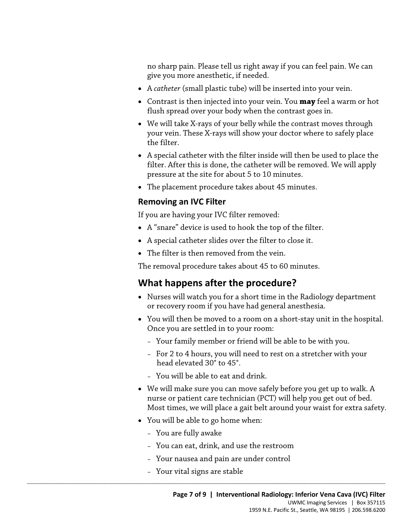no sharp pain. Please tell us right away if you can feel pain. We can give you more anesthetic, if needed.

- A *catheter* (small plastic tube) will be inserted into your vein.
- Contrast is then injected into your vein. You **may** feel a warm or hot flush spread over your body when the contrast goes in.
- We will take X-rays of your belly while the contrast moves through your vein. These X-rays will show your doctor where to safely place the filter.
- A special catheter with the filter inside will then be used to place the filter. After this is done, the catheter will be removed. We will apply pressure at the site for about 5 to 10 minutes.
- The placement procedure takes about 45 minutes.

#### **Removing an IVC Filter**

If you are having your IVC filter removed:

- **Removing an IVC Filter**<br>If you are having your IVC filter removed:<br>• A "snare" device is used to hook the top of the filter.<br>• A special catheter slides over the filter to close it.<br>• The filter is then removed from the v • A "snare" device is used to hook the top of the filter.
	- A special catheter slides over the filter to close it.
	- The filter is then removed from the vein.

The removal procedure takes about 45 to 60 minutes.

## **What happens after the procedure?**

- Nurses will watch you for a short time in the Radiology department or recovery room if you have had general anesthesia.
- You will then be moved to a room on a short-stay unit in the hospital. Once you are settled in to your room:
	- Your family member or friend will be able to be with you.
	- head elevated 30° to 45°. – For 2 to 4 hours, you will need to rest on a stretcher with your
	- You will be able to eat and drink.
- • We will make sure you can move safely before you get up to walk. A nurse or patient care technician (PCT) will help you get out of bed. Most times, we will place a gait belt around your waist for extra safety.
- You will be able to go home when:
	- You are fully awake
	- You can eat, drink, and use the restroom
	- Your nausea and pain are under control
	- Your vital signs are stable

 $\_$  ,  $\_$  ,  $\_$  ,  $\_$  ,  $\_$  ,  $\_$  ,  $\_$  ,  $\_$  ,  $\_$  ,  $\_$  ,  $\_$  ,  $\_$  ,  $\_$  ,  $\_$  ,  $\_$  ,  $\_$  ,  $\_$  ,  $\_$  ,  $\_$  ,  $\_$  ,  $\_$  ,  $\_$  ,  $\_$  ,  $\_$  ,  $\_$  ,  $\_$  ,  $\_$  ,  $\_$  ,  $\_$  ,  $\_$  ,  $\_$  ,  $\_$  ,  $\_$  ,  $\_$  ,  $\_$  ,  $\_$  ,  $\_$  ,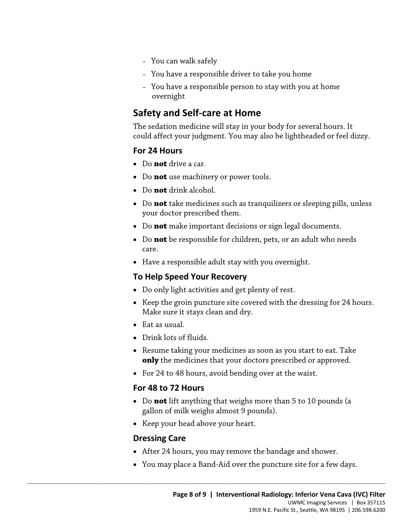- You can walk safely
- You have a responsible driver to take you home
- You have a responsible person to stay with you at home overnight

## **Safety and Self-care at Home**

 could affect your judgment. You may also be lightheaded or feel dizzy. The sedation medicine will stay in your body for several hours. It

#### **For 24 Hours**

- Do **not** drive a car.
- Do **not** use machinery or power tools.
- Do **not** drink alcohol.
- Do **not** drink alcohol.<br>
 Do **not** take medicines such as tranquilizers or sleeping pills, unle<br>
your doctor prescribed them.<br>
 Do **not** make important decisions or sign legal documents.<br>
 Do **not** be responsible for • Do **not** take medicines such as tranquilizers or sleeping pills, unless your doctor prescribed them.
	- Do **not** make important decisions or sign legal documents.
	- Do **not** be responsible for children, pets, or an adult who needs care.
	- Have a responsible adult stay with you overnight.

#### **To Help Speed Your Recovery**

- Do only light activities and get plenty of rest.
- Keep the groin puncture site covered with the dressing for 24 hours. Make sure it stays clean and dry.
- Eat as usual.
- Drink lots of fluids.
- Resume taking your medicines as soon as you start to eat. Take **only** the medicines that your doctors prescribed or approved.
- For 24 to 48 hours, avoid bending over at the waist.

#### **For 48 to 72 Hours**

- gallon of milk weighs almost 9 pounds). • Do **not** lift anything that weighs more than 5 to 10 pounds (a
- Keep your head above your heart.

 $\_$  ,  $\_$  ,  $\_$  ,  $\_$  ,  $\_$  ,  $\_$  ,  $\_$  ,  $\_$  ,  $\_$  ,  $\_$  ,  $\_$  ,  $\_$  ,  $\_$  ,  $\_$  ,  $\_$  ,  $\_$  ,  $\_$  ,  $\_$  ,  $\_$  ,  $\_$  ,  $\_$  ,  $\_$  ,  $\_$  ,  $\_$  ,  $\_$  ,  $\_$  ,  $\_$  ,  $\_$  ,  $\_$  ,  $\_$  ,  $\_$  ,  $\_$  ,  $\_$  ,  $\_$  ,  $\_$  ,  $\_$  ,  $\_$  ,

#### **Dressing Care**

- After 24 hours, you may remove the bandage and shower.
- You may place a Band-Aid over the puncture site for a few days.